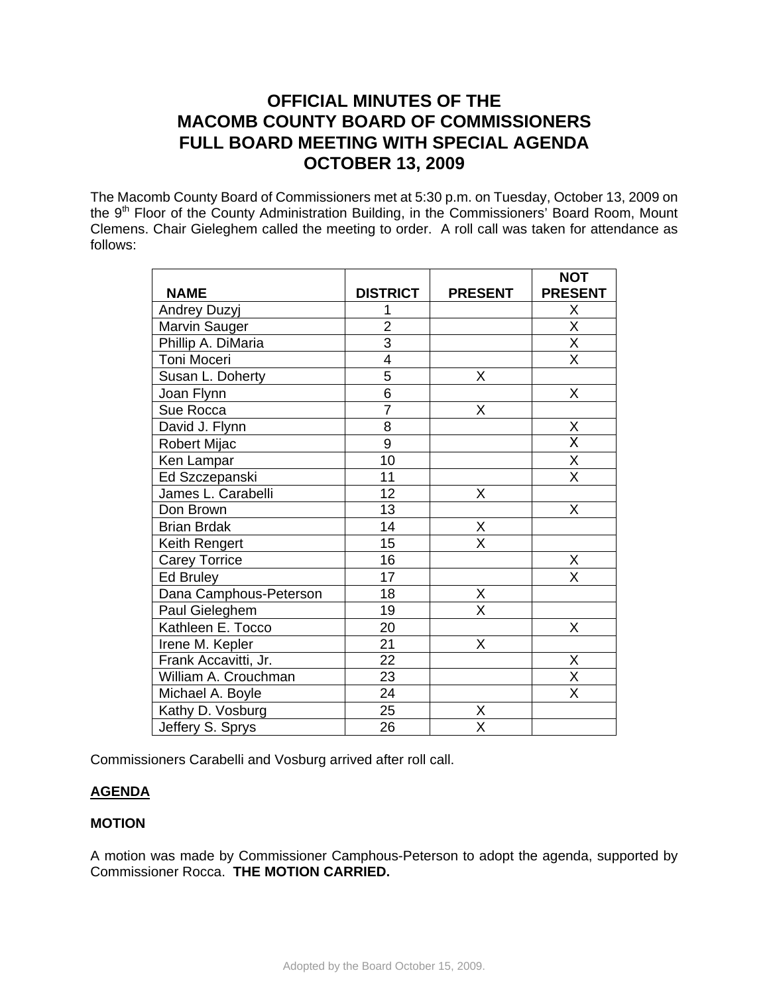# **OFFICIAL MINUTES OF THE MACOMB COUNTY BOARD OF COMMISSIONERS FULL BOARD MEETING WITH SPECIAL AGENDA OCTOBER 13, 2009**

The Macomb County Board of Commissioners met at 5:30 p.m. on Tuesday, October 13, 2009 on the 9<sup>th</sup> Floor of the County Administration Building, in the Commissioners' Board Room, Mount Clemens. Chair Gieleghem called the meeting to order. A roll call was taken for attendance as follows:

|                        |                 |                | <b>NOT</b>              |
|------------------------|-----------------|----------------|-------------------------|
| <b>NAME</b>            | <b>DISTRICT</b> | <b>PRESENT</b> | <b>PRESENT</b>          |
| <b>Andrey Duzyj</b>    |                 |                | X                       |
| Marvin Sauger          | $\overline{2}$  |                | $\overline{\mathsf{X}}$ |
| Phillip A. DiMaria     | $\overline{3}$  |                | $\overline{\mathsf{X}}$ |
| Toni Moceri            | 4               |                | X                       |
| Susan L. Doherty       | $\overline{5}$  | Χ              |                         |
| Joan Flynn             | $\overline{6}$  |                | X                       |
| Sue Rocca              | $\overline{7}$  | X              |                         |
| David J. Flynn         | 8               |                | X                       |
| Robert Mijac           | $\overline{9}$  |                | X                       |
| Ken Lampar             | 10              |                | X                       |
| Ed Szczepanski         | 11              |                | $\overline{\mathsf{x}}$ |
| James L. Carabelli     | 12              | X              |                         |
| Don Brown              | 13              |                | X                       |
| <b>Brian Brdak</b>     | 14              | X              |                         |
| Keith Rengert          | 15              | X              |                         |
| <b>Carey Torrice</b>   | 16              |                | X                       |
| <b>Ed Bruley</b>       | 17              |                | $\overline{\mathsf{x}}$ |
| Dana Camphous-Peterson | 18              | Χ              |                         |
| Paul Gieleghem         | 19              | X              |                         |
| Kathleen E. Tocco      | 20              |                | X                       |
| Irene M. Kepler        | 21              | X              |                         |
| Frank Accavitti, Jr.   | 22              |                | X                       |
| William A. Crouchman   | 23              |                | X                       |
| Michael A. Boyle       | 24              |                | X                       |
| Kathy D. Vosburg       | 25              | X              |                         |
| Jeffery S. Sprys       | 26              | X              |                         |

Commissioners Carabelli and Vosburg arrived after roll call.

## **AGENDA**

## **MOTION**

A motion was made by Commissioner Camphous-Peterson to adopt the agenda, supported by Commissioner Rocca. **THE MOTION CARRIED.**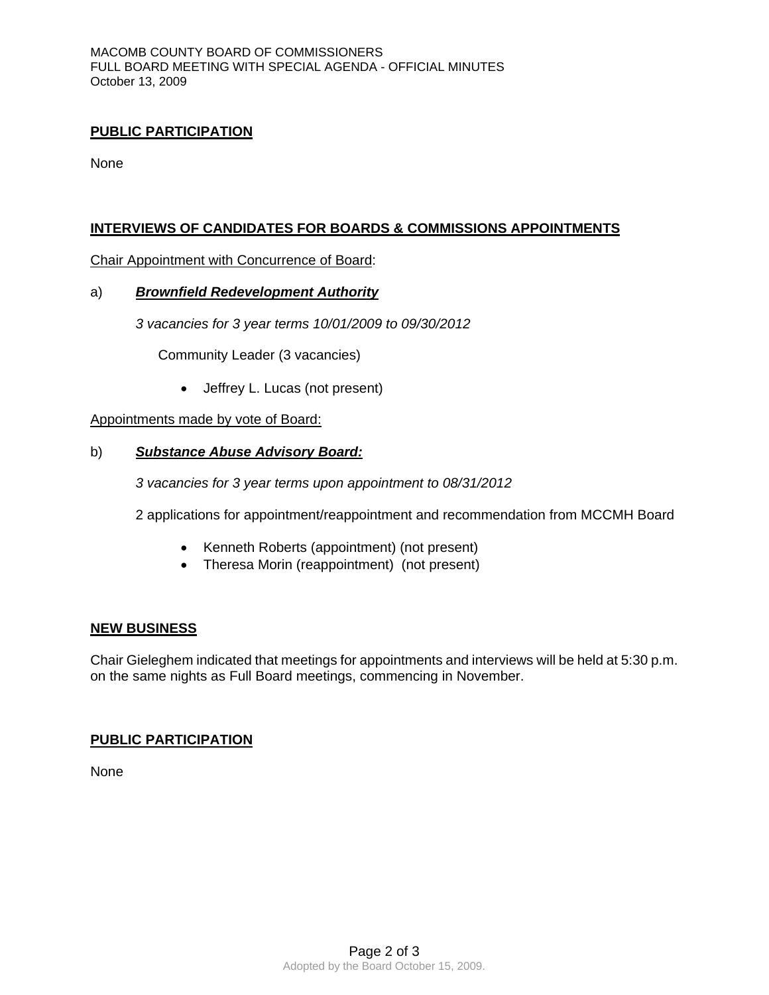## **PUBLIC PARTICIPATION**

**None** 

## **INTERVIEWS OF CANDIDATES FOR BOARDS & COMMISSIONS APPOINTMENTS**

Chair Appointment with Concurrence of Board:

#### a)*Brownfield Redevelopment Authority*

*3 vacancies for 3 year terms 10/01/2009 to 09/30/2012* 

Community Leader (3 vacancies)

• Jeffrey L. Lucas (not present)

Appointments made by vote of Board:

#### b) *Substance Abuse Advisory Board:*

*3 vacancies for 3 year terms upon appointment to 08/31/2012* 

2 applications for appointment/reappointment and recommendation from MCCMH Board

- Kenneth Roberts (appointment) (not present)
- Theresa Morin (reappointment) (not present)

## **NEW BUSINESS**

Chair Gieleghem indicated that meetings for appointments and interviews will be held at 5:30 p.m. on the same nights as Full Board meetings, commencing in November.

## **PUBLIC PARTICIPATION**

None